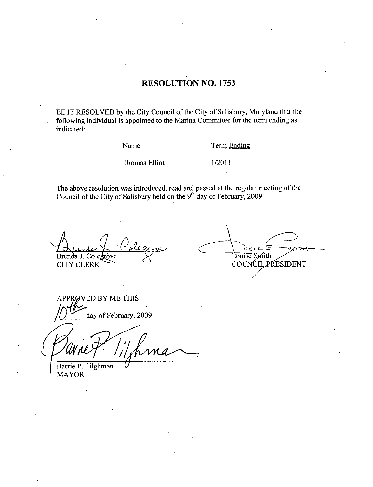## RESOLUTION NO. 1753

BE IT RESOLVED by the City Council of the City of Salisbury, Maryland that the following individual is appointed to the Marina Committee for the term ending as indicated

Name Term Ending

Name Term E<br>Thomas Elliot 1/2011

The above resolution was introduced, read and passed at the regular meeting of the Council of the City of Salisbury held on the  $9<sup>th</sup>$  day of February, 2009.

Brenda J. Colegrove CITY CLERK

l.

Louise Smith COUNCIL PRESIDENT

VED BY ME THIS APPROVED BY ME THIS<br>  $\sqrt{2}$  day of February, 2009

Barrie P. Tilghman MAYOR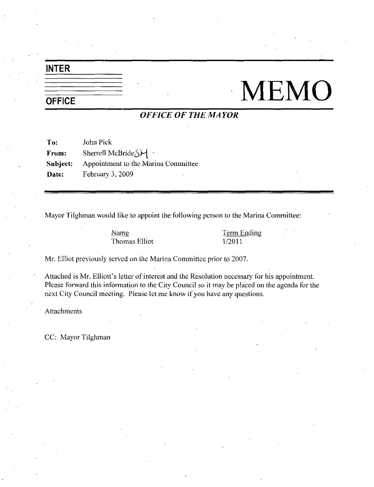## INTER

## **OFFICE** MEMO

## OFFICE OF THE MAYOR

To: John Pick From Subject: Appointment to the Marina Committee Sherrell McBride Sherrell<br>
Sherrell McBride Sherrell<br>
Appointment to the Ma<br>
February 3, 2009 Date: February 3, 2009

Mayor Tilghman would like to appoint the following person to the Marina Committee

Name Thomas Elliot Term Ending 1/2011

Mr. Elliot previously served on the Marina Committee prior to 2007.

Attached is Mr. Elliott's letter of interest and the Resolution necessary for his appointment. Please forward this information to the City Council so it may be placed on the agenda for the next City Council meeting. Please let me know if you have any questions.

Attachments

CC: Mayor Tilghman